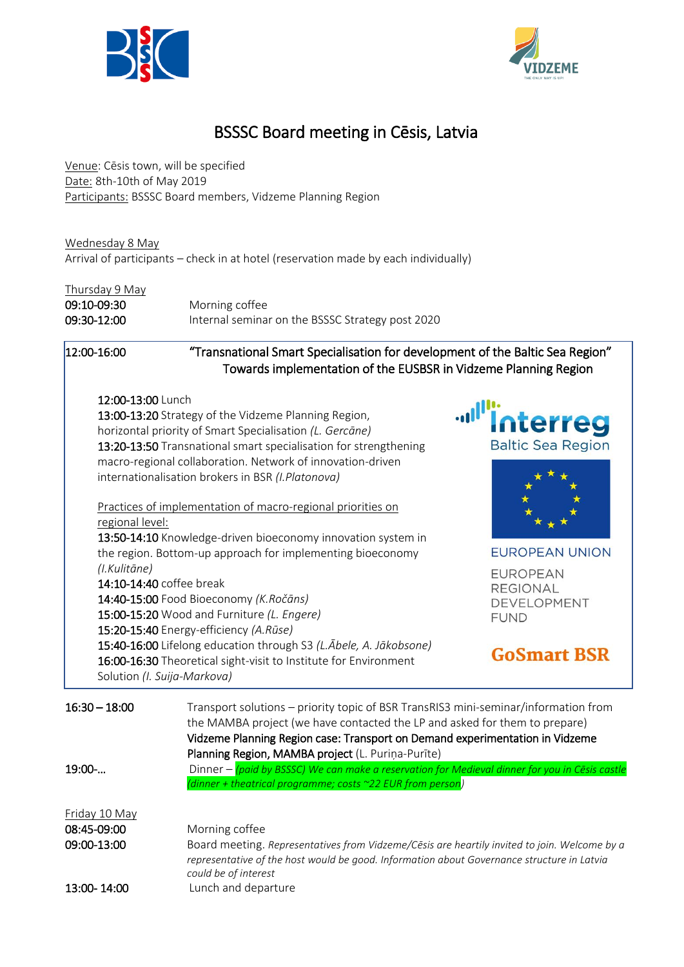



# BSSSC Board meeting in Cēsis, Latvia

Venue: Cēsis town, will be specified Date: 8th-10th of May 2019 Participants: BSSSC Board members, Vidzeme Planning Region

Wednesday 8 May Arrival of participants – check in at hotel (reservation made by each individually)

| Thursday 9 May |                                                  |
|----------------|--------------------------------------------------|
| 09:10-09:30    | Morning coffee                                   |
| 09:30-12:00    | Internal seminar on the BSSSC Strategy post 2020 |

12:00-16:00 "Transnational Smart Specialisation for development of the Baltic Sea Region" Towards implementation of the EUSBSR in Vidzeme Planning Region

#### 12:00-13:00 Lunch

Solution *(I. Suija-Markova)*

13:00-13:20 Strategy of the Vidzeme Planning Region, horizontal priority of Smart Specialisation *(L. Gercāne)* 13:20-13:50 Transnational smart specialisation for strengthening macro-regional collaboration. Network of innovation-driven internationalisation brokers in BSR *(I.Platonova)*

Practices of implementation of macro-regional priorities on regional level:

13:50-14:10 Knowledge-driven bioeconomy innovation system in the region. Bottom-up approach for implementing bioeconomy *(I.Kulitāne)* 14:10-14:40 coffee break

14:40-15:00 Food Bioeconomy *(K.Ročāns)* 15:00-15:20 Wood and Furniture *(L. Engere)* 15:20-15:40 Energy-efficiency *(A.Rūse)* 15:40-16:00 Lifelong education through S3 *(L.Ābele, A. Jākobsone)* 16:00-16:30 Theoretical sight-visit to Institute for Environment



**EUROPEAN UNION** 

**EUROPEAN REGIONAL** DEVELOPMENT **FUND** 

# **GoSmart BSR**

| $16:30 - 18:00$ | Transport solutions – priority topic of BSR TransRIS3 mini-seminar/information from<br>the MAMBA project (we have contacted the LP and asked for them to prepare)<br>Vidzeme Planning Region case: Transport on Demand experimentation in Vidzeme<br>Planning Region, MAMBA project (L. Purina-Purite) |
|-----------------|--------------------------------------------------------------------------------------------------------------------------------------------------------------------------------------------------------------------------------------------------------------------------------------------------------|
| $19:00$ -       | Dinner - (paid by BSSSC) We can make a reservation for Medieval dinner for you in Cesis castle<br>(dinner + theatrical programme; costs ~22 EUR from person)                                                                                                                                           |
| Friday 10 May   |                                                                                                                                                                                                                                                                                                        |
| 08:45-09:00     | Morning coffee                                                                                                                                                                                                                                                                                         |
| 09:00-13:00     | Board meeting. Representatives from Vidzeme/Cēsis are heartily invited to join. Welcome by a<br>representative of the host would be good. Information about Governance structure in Latvia<br>could be of interest                                                                                     |
| 13:00-14:00     | Lunch and departure                                                                                                                                                                                                                                                                                    |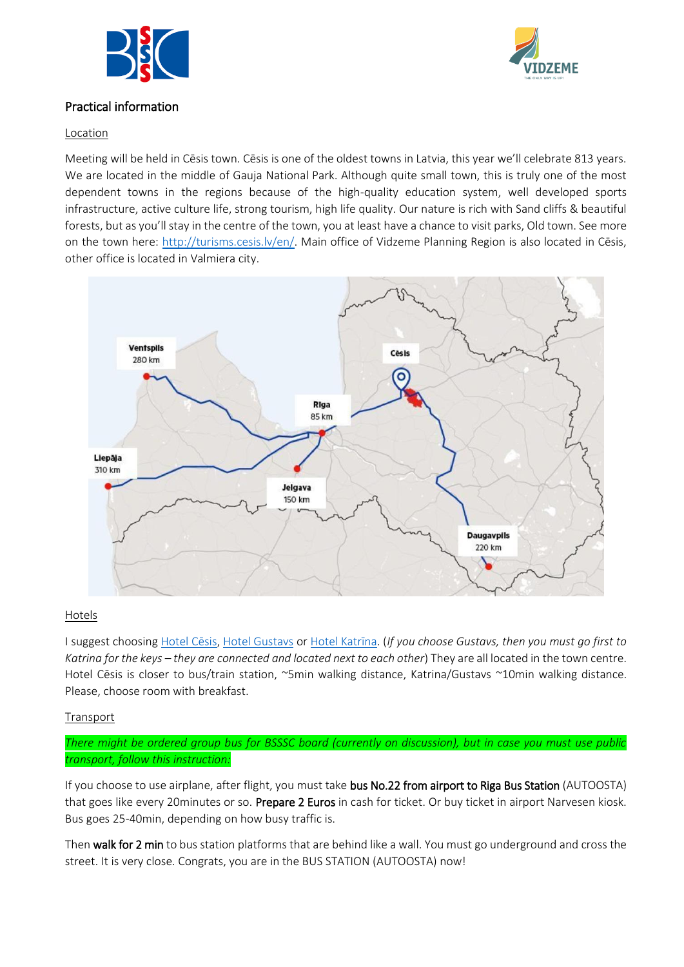



## Practical information

### Location

Meeting will be held in Cēsis town. Cēsis is one of the oldest towns in Latvia, this year we'll celebrate 813 years. We are located in the middle of Gauja National Park. Although quite small town, this is truly one of the most dependent towns in the regions because of the high-quality education system, well developed sports infrastructure, active culture life, strong tourism, high life quality. Our nature is rich with Sand cliffs & beautiful forests, but as you'll stay in the centre of the town, you at least have a chance to visit parks, Old town. See more on the town here:<http://turisms.cesis.lv/en/>. Main office of Vidzeme Planning Region is also located in Cēsis, other office is located in Valmiera city.



### Hotels

I suggest choosing [Hotel Cēsis](https://www.booking.com/hotel/lv/kolonna-cesis.html?aid=810269), [Hotel Gustavs](https://www.booking.com/hotel/lv/gustavs.en-gb.html?aid=810269;sid=8ff8367f419db5919c19abd15d349043;dest_id=-3207702;dest_type=city;dist=0;group_adults=2;hapos=10;hpos=10;room1=A%2CA;sb_price_type=total;sr_order=popularity;srepoch=1549644102;srpvid=2bed7563d53a0172;type=total;ucfs=1&#hotelTmpl) or [Hotel K](https://www.booking.com/hotel/lv/katrina.en-gb.html?aid=810269;sid=8ff8367f419db5919c19abd15d349043;dest_id=-3207702;dest_type=city;dist=0;group_adults=2;hapos=2;hpos=2;room1=A%2CA;sb_price_type=total;sr_order=popularity;srepoch=1549644102;srpvid=2bed7563d53a0172;type=total;ucfs=1&#hotelTmpl)atrīna. (*If you choose Gustavs, then you must go first to Katrina for the keys – they are connected and located next to each other*) They are all located in the town centre. Hotel Cēsis is closer to bus/train station, ~5min walking distance, Katrina/Gustavs ~10min walking distance. Please, choose room with breakfast.

### Transport

*There might be ordered group bus for BSSSC board (currently on discussion), but in case you must use public transport, follow this instruction:*

If you choose to use airplane, after flight, you must take bus No.22 from airport to Riga Bus Station (AUTOOSTA) that goes like every 20minutes or so. Prepare 2 Euros in cash for ticket. Or buy ticket in airport Narvesen kiosk. Bus goes 25-40min, depending on how busy traffic is.

Then walk for 2 min to bus station platforms that are behind like a wall. You must go underground and cross the street. It is very close. Congrats, you are in the BUS STATION (AUTOOSTA) now!